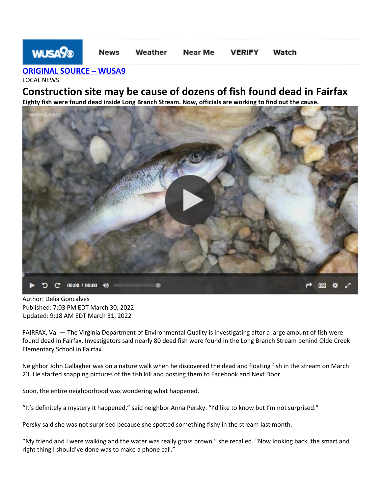## **WUSA% Near Me News** Weather **VERIFY** Watch

**[ORIGINAL SOURCE](https://www.wusa9.com/article/news/local/fairfax-construction-site-may-be-cause-of-fish-kill/65-9684ad30-458f-44f7-a7f3-d45359662fc0) – WUSA9**

LOCAL NEWS

## **Construction site may be cause of dozens of fish found dead in Fairfax**

**Eighty fish were found dead inside Long Branch Stream. Now, officials are working to find out the cause.**



Author: Delia Goncalves Published: 7:03 PM EDT March 30, 2022 Updated: 9:18 AM EDT March 31, 2022

FAIRFAX, Va. — The Virginia Department of Environmental Quality is investigating after a large amount of fish were found dead in Fairfax. Investigators said nearly 80 dead fish were found in the Long Branch Stream behind Olde Creek Elementary School in Fairfax.

Neighbor John Gallagher was on a nature walk when he discovered the dead and floating fish in the stream on March 23. He started snapping pictures of the fish kill and posting them to Facebook and Next Door.

Soon, the entire neighborhood was wondering what happened.

"It's definitely a mystery it happened," said neighbor Anna Persky. "I'd like to know but I'm not surprised."

Persky said she was not surprised because she spotted something fishy in the stream last month.

"My friend and I were walking and the water was really gross brown," she recalled. "Now looking back, the smart and right thing I should've done was to make a phone call."